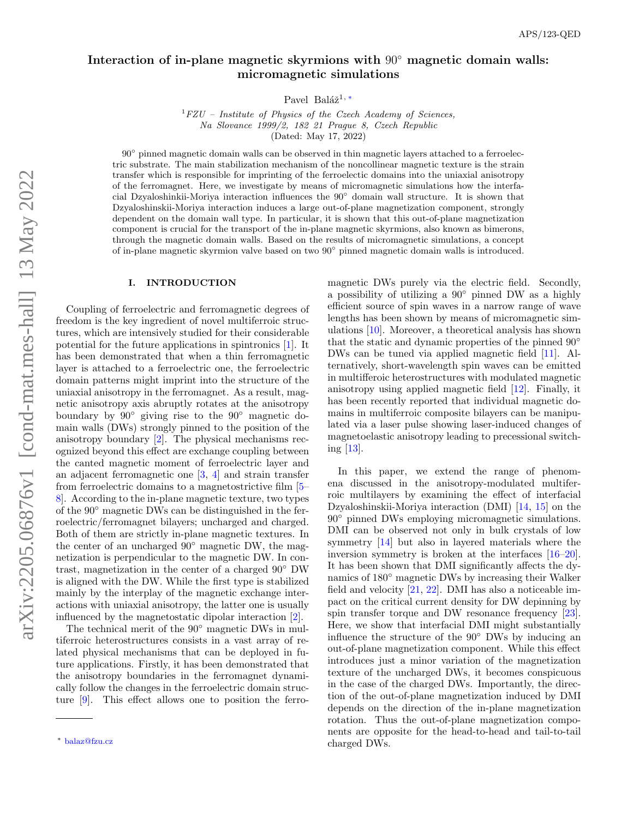# Interaction of in-plane magnetic skyrmions with 90◦ magnetic domain walls: micromagnetic simulations

Pavel Baláž<sup>1,\*</sup>

 ${}^{1}$ FZU – Institute of Physics of the Czech Academy of Sciences, Na Slovance 1999/2, 182 21 Prague 8, Czech Republic (Dated: May 17, 2022)

 $90^{\circ}$  pinned magnetic domain walls can be observed in thin magnetic layers attached to a ferroelectric substrate. The main stabilization mechanism of the noncollinear magnetic texture is the strain transfer which is responsible for imprinting of the ferroelectic domains into the uniaxial anisotropy of the ferromagnet. Here, we investigate by means of micromagnetic simulations how the interfacial Dzyaloshinkii-Moriya interaction influences the 90◦ domain wall structure. It is shown that Dzyaloshinskii-Moriya interaction induces a large out-of-plane magnetization component, strongly dependent on the domain wall type. In particular, it is shown that this out-of-plane magnetization component is crucial for the transport of the in-plane magnetic skyrmions, also known as bimerons, through the magnetic domain walls. Based on the results of micromagnetic simulations, a concept of in-plane magnetic skyrmion valve based on two 90◦ pinned magnetic domain walls is introduced.

### I. INTRODUCTION

Coupling of ferroelectric and ferromagnetic degrees of freedom is the key ingredient of novel multiferroic structures, which are intensively studied for their considerable potential for the future applications in spintronics [\[1\]](#page-9-0). It has been demonstrated that when a thin ferromagnetic layer is attached to a ferroelectric one, the ferroelectric domain patterns might imprint into the structure of the uniaxial anisotropy in the ferromagnet. As a result, magnetic anisotropy axis abruptly rotates at the anisotropy boundary by 90◦ giving rise to the 90◦ magnetic domain walls (DWs) strongly pinned to the position of the anisotropy boundary [\[2\]](#page-9-1). The physical mechanisms recognized beyond this effect are exchange coupling between the canted magnetic moment of ferroelectric layer and an adjacent ferromagnetic one [\[3,](#page-10-0) [4\]](#page-10-1) and strain transfer from ferroelectric domains to a magnetostrictive film [\[5–](#page-10-2) [8\]](#page-10-3). According to the in-plane magnetic texture, two types of the 90◦ magnetic DWs can be distinguished in the ferroelectric/ferromagnet bilayers; uncharged and charged. Both of them are strictly in-plane magnetic textures. In the center of an uncharged  $90°$  magnetic DW, the magnetization is perpendicular to the magnetic DW. In contrast, magnetization in the center of a charged 90◦ DW is aligned with the DW. While the first type is stabilized mainly by the interplay of the magnetic exchange interactions with uniaxial anisotropy, the latter one is usually influenced by the magnetostatic dipolar interaction [\[2\]](#page-9-1).

The technical merit of the 90◦ magnetic DWs in multiferroic heterostructures consists in a vast array of related physical mechanisms that can be deployed in future applications. Firstly, it has been demonstrated that the anisotropy boundaries in the ferromagnet dynamically follow the changes in the ferroelectric domain structure [\[9\]](#page-10-4). This effect allows one to position the ferromagnetic DWs purely via the electric field. Secondly, a possibility of utilizing a 90◦ pinned DW as a highly efficient source of spin waves in a narrow range of wave lengths has been shown by means of micromagnetic simulations [\[10\]](#page-10-5). Moreover, a theoretical analysis has shown that the static and dynamic properties of the pinned 90◦ DWs can be tuned via applied magnetic field [\[11\]](#page-10-6). Alternatively, short-wavelength spin waves can be emitted in multifferoic heterostructures with modulated magnetic anisotropy using applied magnetic field [\[12\]](#page-10-7). Finally, it has been recently reported that individual magnetic domains in multiferroic composite bilayers can be manipulated via a laser pulse showing laser-induced changes of magnetoelastic anisotropy leading to precessional switching [\[13\]](#page-10-8).

In this paper, we extend the range of phenomena discussed in the anisotropy-modulated multiferroic multilayers by examining the effect of interfacial Dzyaloshinskii-Moriya interaction (DMI) [\[14,](#page-10-9) [15\]](#page-10-10) on the 90◦ pinned DWs employing micromagnetic simulations. DMI can be observed not only in bulk crystals of low symmetry [\[14\]](#page-10-9) but also in layered materials where the inversion symmetry is broken at the interfaces [\[16–](#page-10-11)[20\]](#page-10-12). It has been shown that DMI significantly affects the dynamics of 180<sup>◦</sup> magnetic DWs by increasing their Walker field and velocity [\[21,](#page-10-13) [22\]](#page-10-14). DMI has also a noticeable impact on the critical current density for DW depinning by spin transfer torque and DW resonance frequency [\[23\]](#page-10-15). Here, we show that interfacial DMI might substantially influence the structure of the 90◦ DWs by inducing an out-of-plane magnetization component. While this effect introduces just a minor variation of the magnetization texture of the uncharged DWs, it becomes conspicuous in the case of the charged DWs. Importantly, the direction of the out-of-plane magnetization induced by DMI depends on the direction of the in-plane magnetization rotation. Thus the out-of-plane magnetization components are opposite for the head-to-head and tail-to-tail charged DWs.

<span id="page-0-0"></span><sup>∗</sup> [balaz@fzu.cz](mailto:balaz@fzu.cz)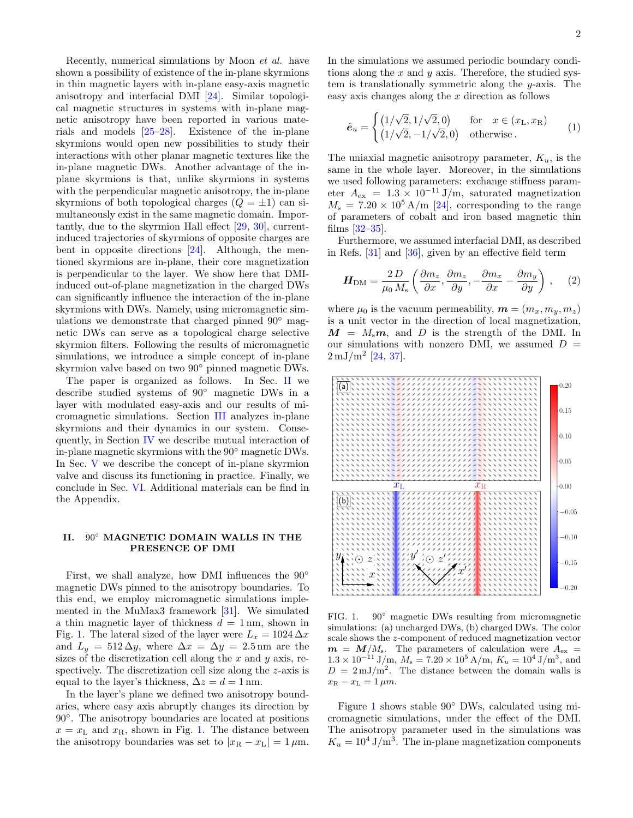Recently, numerical simulations by Moon et al. have shown a possibility of existence of the in-plane skyrmions in thin magnetic layers with in-plane easy-axis magnetic anisotropy and interfacial DMI [\[24\]](#page-10-16). Similar topological magnetic structures in systems with in-plane magnetic anisotropy have been reported in various materials and models [\[25–](#page-10-17)[28\]](#page-10-18). Existence of the in-plane skyrmions would open new possibilities to study their interactions with other planar magnetic textures like the in-plane magnetic DWs. Another advantage of the inplane skyrmions is that, unlike skyrmions in systems with the perpendicular magnetic anisotropy, the in-plane skyrmions of both topological charges  $(Q = \pm 1)$  can simultaneously exist in the same magnetic domain. Importantly, due to the skyrmion Hall effect [\[29,](#page-10-19) [30\]](#page-10-20), currentinduced trajectories of skyrmions of opposite charges are bent in opposite directions [\[24\]](#page-10-16). Although, the mentioned skyrmions are in-plane, their core magnetization is perpendicular to the layer. We show here that DMIinduced out-of-plane magnetization in the charged DWs can significantly influence the interaction of the in-plane skyrmions with DWs. Namely, using micromagnetic simulations we demonstrate that charged pinned 90<sup>°</sup> magnetic DWs can serve as a topological charge selective skyrmion filters. Following the results of micromagnetic simulations, we introduce a simple concept of in-plane skyrmion valve based on two 90◦ pinned magnetic DWs.

The paper is organized as follows. In Sec. [II](#page-1-0) we describe studied systems of 90◦ magnetic DWs in a layer with modulated easy-axis and our results of micromagnetic simulations. Section [III](#page-4-0) analyzes in-plane skyrmions and their dynamics in our system. Consequently, in Section [IV](#page-6-0) we describe mutual interaction of in-plane magnetic skyrmions with the 90◦ magnetic DWs. In Sec. [V](#page-7-0) we describe the concept of in-plane skyrmion valve and discuss its functioning in practice. Finally, we conclude in Sec. [VI.](#page-8-0) Additional materials can be find in the Appendix.

### <span id="page-1-0"></span>II. 90◦ MAGNETIC DOMAIN WALLS IN THE PRESENCE OF DMI

First, we shall analyze, how DMI influences the 90◦ magnetic DWs pinned to the anisotropy boundaries. To this end, we employ micromagnetic simulations implemented in the MuMax3 framework [\[31\]](#page-10-21). We simulated a thin magnetic layer of thickness  $d = 1$  nm, shown in Fig. [1.](#page-1-1) The lateral sized of the layer were  $L_x = 1024 \Delta x$ and  $L_y = 512 \Delta y$ , where  $\Delta x = \Delta y = 2.5$  nm are the sizes of the discretization cell along the  $x$  and  $y$  axis, respectively. The discretization cell size along the z-axis is equal to the layer's thickness,  $\Delta z = d = 1$  nm.

In the layer's plane we defined two anisotropy boundaries, where easy axis abruptly changes its direction by 90◦ . The anisotropy boundaries are located at positions  $x = x<sub>L</sub>$  and  $x<sub>R</sub>$ , shown in Fig. [1.](#page-1-1) The distance between the anisotropy boundaries was set to  $|x_{\text{R}} - x_{\text{L}}| = 1 \,\mu\text{m}$ . In the simulations we assumed periodic boundary conditions along the  $x$  and  $y$  axis. Therefore, the studied system is translationally symmetric along the  $y$ -axis. The easy axis changes along the  $x$  direction as follows

$$
\hat{\mathbf{e}}_u = \begin{cases} \left(1/\sqrt{2}, 1/\sqrt{2}, 0\right) & \text{for } x \in (x_\text{L}, x_\text{R})\\ \left(1/\sqrt{2}, -1/\sqrt{2}, 0\right) & \text{otherwise.} \end{cases} \tag{1}
$$

The uniaxial magnetic anisotropy parameter,  $K_u$ , is the same in the whole layer. Moreover, in the simulations we used following parameters: exchange stiffness parameter  $A_{\text{ex}} = 1.3 \times 10^{-11} \text{ J/m}$ , saturated magnetization  $M_{\rm s} = 7.20 \times 10^5$  A/m [\[24\]](#page-10-16), corresponding to the range of parameters of cobalt and iron based magnetic thin films [\[32–](#page-10-22)[35\]](#page-10-23).

Furthermore, we assumed interfacial DMI, as described in Refs. [\[31\]](#page-10-21) and [\[36\]](#page-10-24), given by an effective field term

<span id="page-1-2"></span>
$$
\boldsymbol{H}_{\rm DM} = \frac{2 D}{\mu_0 M_{\rm s}} \left( \frac{\partial m_z}{\partial x}, \frac{\partial m_z}{\partial y}, -\frac{\partial m_x}{\partial x} - \frac{\partial m_y}{\partial y} \right), \quad (2)
$$

where  $\mu_0$  is the vacuum permeability,  $\mathbf{m} = (m_x, m_y, m_z)$ is a unit vector in the direction of local magnetization,  $M = M_s m$ , and D is the strength of the DMI. In our simulations with nonzero DMI, we assumed  $D =$  $2 \,\mathrm{mJ/m^2}$  [\[24,](#page-10-16) [37\]](#page-10-25).



<span id="page-1-1"></span>FIG. 1. 90° magnetic DWs resulting from micromagnetic simulations: (a) uncharged DWs, (b) charged DWs. The color scale shows the z-component of reduced magnetization vector  $m = M/M<sub>s</sub>$ . The parameters of calculation were  $A<sub>ex</sub>$  =  $1.3 \times 10^{-11}$  J/m,  $M_s = 7.20 \times 10^5$  A/m,  $K_u = 10^4$  J/m<sup>3</sup>, and  $D = 2 \text{ mJ/m}^2$ . The distance between the domain walls is  $x_{\rm R} - x_{\rm L} = 1 \,\mu m.$ 

Figure [1](#page-1-1) shows stable 90◦ DWs, calculated using micromagnetic simulations, under the effect of the DMI. The anisotropy parameter used in the simulations was  $K_u = 10^4 \text{ J/m}^3$ . The in-plane magnetization components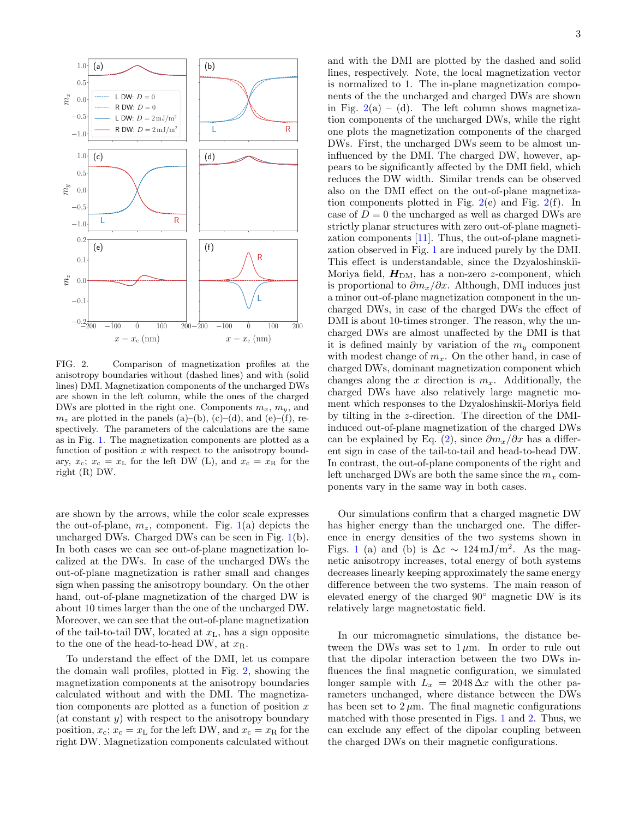

<span id="page-2-0"></span>FIG. 2. Comparison of magnetization profiles at the anisotropy boundaries without (dashed lines) and with (solid lines) DMI. Magnetization components of the uncharged DWs are shown in the left column, while the ones of the charged DWs are plotted in the right one. Components  $m_x$ ,  $m_y$ , and  $m_z$  are plotted in the panels (a)–(b), (c)–(d), and (e)–(f), respectively. The parameters of the calculations are the same as in Fig. [1.](#page-1-1) The magnetization components are plotted as a function of position  $x$  with respect to the anisotropy boundary,  $x_c$ ;  $x_c = x_L$  for the left DW (L), and  $x_c = x_R$  for the right (R) DW.

are shown by the arrows, while the color scale expresses the out-of-plane,  $m_z$ , component. Fig. [1\(](#page-1-1)a) depicts the uncharged DWs. Charged DWs can be seen in Fig. [1\(](#page-1-1)b). In both cases we can see out-of-plane magnetization localized at the DWs. In case of the uncharged DWs the out-of-plane magnetization is rather small and changes sign when passing the anisotropy boundary. On the other hand, out-of-plane magnetization of the charged DW is about 10 times larger than the one of the uncharged DW. Moreover, we can see that the out-of-plane magnetization of the tail-to-tail DW, located at  $x_L$ , has a sign opposite to the one of the head-to-head DW, at  $x_{\rm R}$ .

To understand the effect of the DMI, let us compare the domain wall profiles, plotted in Fig. [2,](#page-2-0) showing the magnetization components at the anisotropy boundaries calculated without and with the DMI. The magnetization components are plotted as a function of position  $x$ (at constant  $y$ ) with respect to the anisotropy boundary position,  $x_c$ ;  $x_c = x_L$  for the left DW, and  $x_c = x_R$  for the right DW. Magnetization components calculated without

and with the DMI are plotted by the dashed and solid lines, respectively. Note, the local magnetization vector is normalized to 1. The in-plane magnetization components of the the uncharged and charged DWs are shown in Fig.  $2(a) - (d)$  $2(a) - (d)$ . The left column shows magnetization components of the uncharged DWs, while the right one plots the magnetization components of the charged DWs. First, the uncharged DWs seem to be almost uninfluenced by the DMI. The charged DW, however, appears to be significantly affected by the DMI field, which reduces the DW width. Similar trends can be observed also on the DMI effect on the out-of-plane magnetization components plotted in Fig.  $2(e)$  $2(e)$  and Fig.  $2(f)$ . In case of  $D = 0$  the uncharged as well as charged DWs are strictly planar structures with zero out-of-plane magnetization components [\[11\]](#page-10-6). Thus, the out-of-plane magnetization observed in Fig. [1](#page-1-1) are induced purely by the DMI. This effect is understandable, since the Dzyaloshinskii-Moriya field,  $H_{DM}$ , has a non-zero z-component, which is proportional to  $\partial m_x/\partial x$ . Although, DMI induces just a minor out-of-plane magnetization component in the uncharged DWs, in case of the charged DWs the effect of DMI is about 10-times stronger. The reason, why the uncharged DWs are almost unaffected by the DMI is that it is defined mainly by variation of the  $m<sub>y</sub>$  component with modest change of  $m_x$ . On the other hand, in case of charged DWs, dominant magnetization component which changes along the x direction is  $m_x$ . Additionally, the charged DWs have also relatively large magnetic moment which responses to the Dzyaloshinskii-Moriya field by tilting in the z-direction. The direction of the DMIinduced out-of-plane magnetization of the charged DWs can be explained by Eq. [\(2\)](#page-1-2), since  $\partial m_x/\partial x$  has a different sign in case of the tail-to-tail and head-to-head DW. In contrast, the out-of-plane components of the right and left uncharged DWs are both the same since the  $m_x$  components vary in the same way in both cases.

Our simulations confirm that a charged magnetic DW has higher energy than the uncharged one. The difference in energy densities of the two systems shown in Figs. [1](#page-1-1) (a) and (b) is  $\Delta \varepsilon \sim 124 \,\mathrm{mJ/m^2}$ . As the magnetic anisotropy increases, total energy of both systems decreases linearly keeping approximately the same energy difference between the two systems. The main reason of elevated energy of the charged 90◦ magnetic DW is its relatively large magnetostatic field.

In our micromagnetic simulations, the distance between the DWs was set to  $1 \mu m$ . In order to rule out that the dipolar interaction between the two DWs influences the final magnetic configuration, we simulated longer sample with  $L_x = 2048 \Delta x$  with the other parameters unchanged, where distance between the DWs has been set to  $2 \mu m$ . The final magnetic configurations matched with those presented in Figs. [1](#page-1-1) and [2.](#page-2-0) Thus, we can exclude any effect of the dipolar coupling between the charged DWs on their magnetic configurations.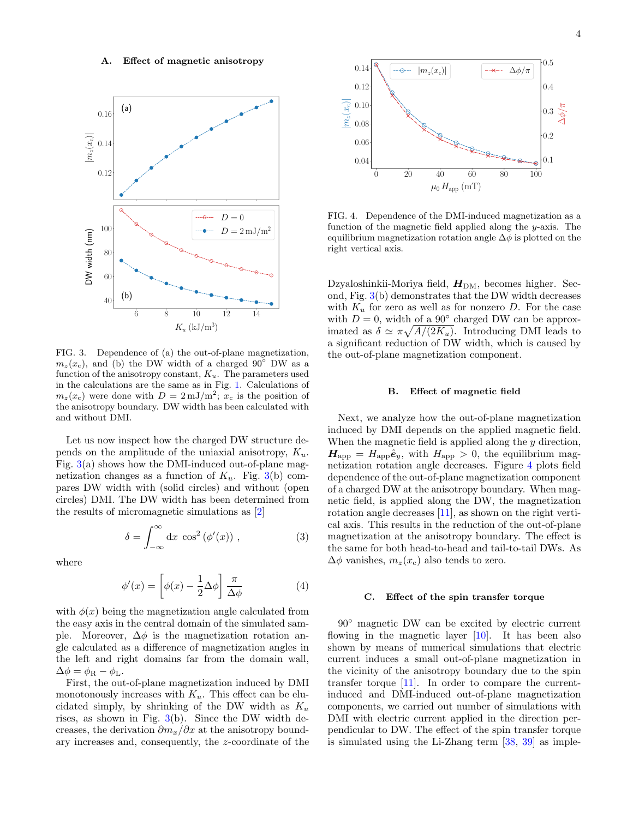

<span id="page-3-0"></span>FIG. 3. Dependence of (a) the out-of-plane magnetization,  $m_z(x_c)$ , and (b) the DW width of a charged 90° DW as a function of the anisotropy constant,  $K_u$ . The parameters used in the calculations are the same as in Fig. [1.](#page-1-1) Calculations of  $m_z(x_c)$  were done with  $D = 2 \,\mathrm{mJ/m^2}$ ;  $x_c$  is the position of the anisotropy boundary. DW width has been calculated with and without DMI.

Let us now inspect how the charged DW structure depends on the amplitude of the uniaxial anisotropy,  $K_u$ . Fig.  $3(a)$  $3(a)$  shows how the DMI-induced out-of-plane magnetization changes as a function of  $K_u$ . Fig. [3\(](#page-3-0)b) compares DW width with (solid circles) and without (open circles) DMI. The DW width has been determined from the results of micromagnetic simulations as [\[2\]](#page-9-1)

$$
\delta = \int_{-\infty}^{\infty} dx \cos^2(\phi'(x)), \qquad (3)
$$

where

$$
\phi'(x) = \left[\phi(x) - \frac{1}{2}\Delta\phi\right] \frac{\pi}{\Delta\phi} \tag{4}
$$

with  $\phi(x)$  being the magnetization angle calculated from the easy axis in the central domain of the simulated sample. Moreover,  $\Delta \phi$  is the magnetization rotation angle calculated as a difference of magnetization angles in the left and right domains far from the domain wall,  $\Delta \phi = \phi_{\rm R} - \phi_{\rm L}.$ 

First, the out-of-plane magnetization induced by DMI monotonously increases with  $K_u$ . This effect can be elucidated simply, by shrinking of the DW width as  $K_u$ rises, as shown in Fig.  $3(b)$  $3(b)$ . Since the DW width decreases, the derivation  $\partial m_x/\partial x$  at the anisotropy bound-



<span id="page-3-1"></span>FIG. 4. Dependence of the DMI-induced magnetization as a function of the magnetic field applied along the y-axis. The equilibrium magnetization rotation angle  $\Delta \phi$  is plotted on the right vertical axis.

Dzyaloshinkii-Moriya field,  $H_{DM}$ , becomes higher. Second, Fig. [3\(](#page-3-0)b) demonstrates that the DW width decreases with  $K_u$  for zero as well as for nonzero D. For the case with  $D = 0$ , width of a 90 $\degree$  charged DW can be approximated as  $\delta \simeq \pi \sqrt{A/(2K_u)}$ . Introducing DMI leads to a significant reduction of DW width, which is caused by the out-of-plane magnetization component.

### B. Effect of magnetic field

Next, we analyze how the out-of-plane magnetization induced by DMI depends on the applied magnetic field. When the magnetic field is applied along the y direction,  $H_{\text{app}} = H_{\text{app}} \hat{e}_y$ , with  $H_{\text{app}} > 0$ , the equilibrium magnetization rotation angle decreases. Figure [4](#page-3-1) plots field dependence of the out-of-plane magnetization component of a charged DW at the anisotropy boundary. When magnetic field, is applied along the DW, the magnetization rotation angle decreases [\[11\]](#page-10-6), as shown on the right vertical axis. This results in the reduction of the out-of-plane magnetization at the anisotropy boundary. The effect is the same for both head-to-head and tail-to-tail DWs. As  $\Delta\phi$  vanishes,  $m_z(x_c)$  also tends to zero.

#### <span id="page-3-2"></span>C. Effect of the spin transfer torque

90◦ magnetic DW can be excited by electric current flowing in the magnetic layer  $[10]$ . It has been also shown by means of numerical simulations that electric current induces a small out-of-plane magnetization in the vicinity of the anisotropy boundary due to the spin transfer torque [\[11\]](#page-10-6). In order to compare the currentinduced and DMI-induced out-of-plane magnetization components, we carried out number of simulations with DMI with electric current applied in the direction perpendicular to DW. The effect of the spin transfer torque is simulated using the Li-Zhang term [\[38,](#page-10-26) [39\]](#page-10-27) as imple-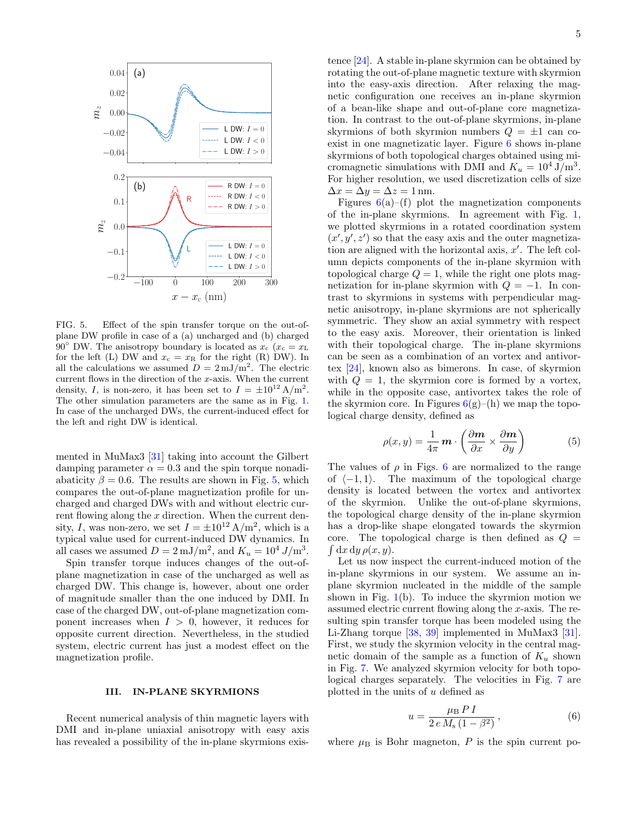

<span id="page-4-1"></span>FIG. 5. Effect of the spin transfer torque on the out-ofplane DW profile in case of a (a) uncharged and (b) charged 90° DW. The anisotropy boundary is located as  $x_c$  ( $x_c = x_{\text{L}}$ ) for the left (L) DW and  $x_c = x_R$  for the right (R) DW). In all the calculations we assumed  $D = 2 \text{ mJ/m}^2$ . The electric current flows in the direction of the x-axis. When the current density, I, is non-zero, it has been set to  $I = \pm 10^{12} \text{ A/m}^2$ . The other simulation parameters are the same as in Fig. [1.](#page-1-1) In case of the uncharged DWs, the current-induced effect for the left and right DW is identical.

mented in MuMax3 [\[31\]](#page-10-21) taking into account the Gilbert damping parameter  $\alpha = 0.3$  and the spin torque nonadiabaticity  $\beta = 0.6$ . The results are shown in Fig. [5,](#page-4-1) which compares the out-of-plane magnetization profile for uncharged and charged DWs with and without electric current flowing along the x direction. When the current density, I, was non-zero, we set  $I = \pm 10^{12} \text{ A/m}^2$ , which is a typical value used for current-induced DW dynamics. In all cases we assumed  $D = 2 \,\mathrm{mJ/m^2}$ , and  $K_u = 10^4 \,\mathrm{J/m^3}$ .

Spin transfer torque induces changes of the out-ofplane magnetization in case of the uncharged as well as charged DW. This change is, however, about one order of magnitude smaller than the one induced by DMI. In case of the charged DW, out-of-plane magnetization component increases when  $I > 0$ , however, it reduces for opposite current direction. Nevertheless, in the studied system, electric current has just a modest effect on the magnetization profile.

# <span id="page-4-0"></span>III. IN-PLANE SKYRMIONS

Recent numerical analysis of thin magnetic layers with DMI and in-plane uniaxial anisotropy with easy axis has revealed a possibility of the in-plane skyrmions existence [\[24\]](#page-10-16). A stable in-plane skyrmion can be obtained by rotating the out-of-plane magnetic texture with skyrmion into the easy-axis direction. After relaxing the magnetic configuration one receives an in-plane skyrmion of a bean-like shape and out-of-plane core magnetization. In contrast to the out-of-plane skyrmions, in-plane skyrmions of both skyrmion numbers  $Q = \pm 1$  can coexist in one magnetizatic layer. Figure [6](#page-5-0) shows in-plane skyrmions of both topological charges obtained using micromagnetic simulations with DMI and  $K_u = 10^4 \text{ J/m}^3$ . For higher resolution, we used discretization cells of size  $\Delta x = \Delta y = \Delta z = 1$  nm.

Figures  $6(a)$  $6(a)$ –(f) plot the magnetization components of the in-plane skyrmions. In agreement with Fig. [1,](#page-1-1) we plotted skyrmions in a rotated coordination system  $(x', y', z')$  so that the easy axis and the outer magnetization are aligned with the horizontal axis,  $x'$ . The left column depicts components of the in-plane skyrmion with topological charge  $Q = 1$ , while the right one plots magnetization for in-plane skyrmion with  $Q = -1$ . In contrast to skyrmions in systems with perpendicular magnetic anisotropy, in-plane skyrmions are not spherically symmetric. They show an axial symmetry with respect to the easy axis. Moreover, their orientation is linked with their topological charge. The in-plane skyrmions can be seen as a combination of an vortex and antivortex [\[24\]](#page-10-16), known also as bimerons. In case, of skyrmion with  $Q = 1$ , the skyrmion core is formed by a vortex, while in the opposite case, antivortex takes the role of the skyrmion core. In Figures  $6(g)$  $6(g)$ –(h) we map the topological charge density, defined as

$$
\rho(x,y) = \frac{1}{4\pi} \mathbf{m} \cdot \left( \frac{\partial \mathbf{m}}{\partial x} \times \frac{\partial \mathbf{m}}{\partial y} \right) \tag{5}
$$

The values of  $\rho$  in Figs. [6](#page-5-0) are normalized to the range of  $\langle -1, 1 \rangle$ . The maximum of the topological charge density is located between the vortex and antivortex of the skyrmion. Unlike the out-of-plane skyrmions, the topological charge density of the in-plane skyrmion has a drop-like shape elongated towards the skyrmion core. The topological charge is then defined as  $Q =$  $\int dx dy \, \rho(x, y).$ 

Let us now inspect the current-induced motion of the in-plane skyrmions in our system. We assume an inplane skyrmion nucleated in the middle of the sample shown in Fig.  $1(b)$  $1(b)$ . To induce the skyrmion motion we assumed electric current flowing along the x-axis. The resulting spin transfer torque has been modeled using the Li-Zhang torque [\[38,](#page-10-26) [39\]](#page-10-27) implemented in MuMax3 [\[31\]](#page-10-21). First, we study the skyrmion velocity in the central magnetic domain of the sample as a function of  $K_u$  shown in Fig. [7.](#page-5-1) We analyzed skyrmion velocity for both topological charges separately. The velocities in Fig. [7](#page-5-1) are plotted in the units of  $u$  defined as

<span id="page-4-2"></span>
$$
u = \frac{\mu_{\rm B} P I}{2 e M_{\rm s} (1 - \beta^2)},
$$
\n(6)

where  $\mu_B$  is Bohr magneton, P is the spin current po-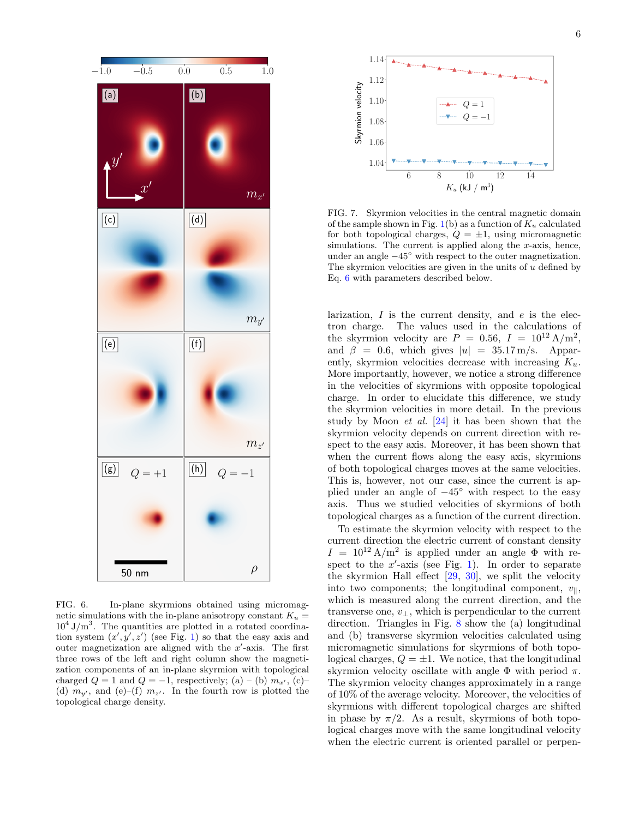

<span id="page-5-0"></span>FIG. 6. In-plane skyrmions obtained using micromagnetic simulations with the in-plane anisotropy constant  $K_u =$  $10^4$  J/m<sup>3</sup>. The quantities are plotted in a rotated coordination system  $(x', y', z')$  (see Fig. [1\)](#page-1-1) so that the easy axis and outer magnetization are aligned with the  $x'$ -axis. The first three rows of the left and right column show the magnetization components of an in-plane skyrmion with topological charged  $Q = 1$  and  $Q = -1$ , respectively; (a) – (b)  $m_{x'}$ , (c)– (d)  $m_{u'}$ , and (e)–(f)  $m_{z'}$ . In the fourth row is plotted the topological charge density.



<span id="page-5-1"></span>FIG. 7. Skyrmion velocities in the central magnetic domain of the sample shown in Fig. [1\(](#page-1-1)b) as a function of  $K_u$  calculated for both topological charges,  $Q = \pm 1$ , using micromagnetic simulations. The current is applied along the  $x$ -axis, hence, under an angle  $-45^\circ$  with respect to the outer magnetization. The skyrmion velocities are given in the units of  $u$  defined by Eq. [6](#page-4-2) with parameters described below.

larization,  $I$  is the current density, and  $e$  is the electron charge. The values used in the calculations of the skyrmion velocity are  $P = 0.56$ ,  $I = 10^{12} \text{ A/m}^2$ , and  $\beta = 0.6$ , which gives  $|u| = 35.17 \,\mathrm{m/s}$ . Apparently, skyrmion velocities decrease with increasing  $K_u$ . More importantly, however, we notice a strong difference in the velocities of skyrmions with opposite topological charge. In order to elucidate this difference, we study the skyrmion velocities in more detail. In the previous study by Moon *et al.*  $[24]$  it has been shown that the skyrmion velocity depends on current direction with respect to the easy axis. Moreover, it has been shown that when the current flows along the easy axis, skyrmions of both topological charges moves at the same velocities. This is, however, not our case, since the current is applied under an angle of  $-45°$  with respect to the easy axis. Thus we studied velocities of skyrmions of both topological charges as a function of the current direction.

To estimate the skyrmion velocity with respect to the current direction the electric current of constant density  $I = 10^{12} \text{ A/m}^2$  is applied under an angle  $\Phi$  with respect to the  $x'$ -axis (see Fig. [1\)](#page-1-1). In order to separate the skyrmion Hall effect [\[29,](#page-10-19) [30\]](#page-10-20), we split the velocity into two components; the longitudinal component,  $v_{\parallel}$ , which is measured along the current direction, and the transverse one,  $v_{\perp}$ , which is perpendicular to the current direction. Triangles in Fig. [8](#page-6-1) show the (a) longitudinal and (b) transverse skyrmion velocities calculated using micromagnetic simulations for skyrmions of both topological charges,  $Q = \pm 1$ . We notice, that the longitudinal skyrmion velocity oscillate with angle  $\Phi$  with period  $\pi$ . The skyrmion velocity changes approximately in a range of 10% of the average velocity. Moreover, the velocities of skyrmions with different topological charges are shifted in phase by  $\pi/2$ . As a result, skyrmions of both topological charges move with the same longitudinal velocity when the electric current is oriented parallel or perpen-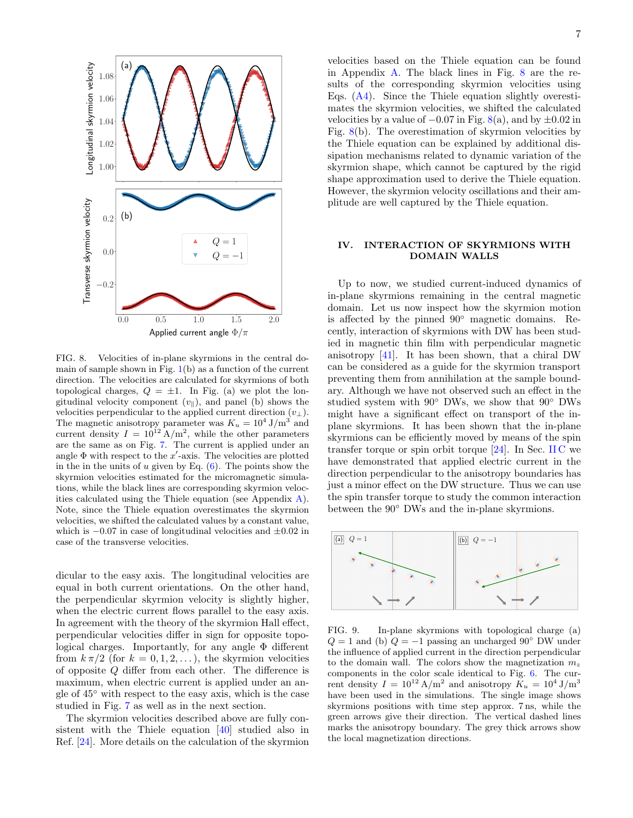

<span id="page-6-1"></span>FIG. 8. Velocities of in-plane skyrmions in the central domain of sample shown in Fig.  $1(b)$  $1(b)$  as a function of the current direction. The velocities are calculated for skyrmions of both topological charges,  $Q = \pm 1$ . In Fig. (a) we plot the longitudinal velocity component  $(v_{\parallel})$ , and panel (b) shows the velocities perpendicular to the applied current direction  $(v<sub>⊥</sub>)$ . The magnetic anisotropy parameter was  $K_u = 10^4$  J/m<sup>3</sup> and current density  $I = 10^{12}$  A/m<sup>2</sup>, while the other parameters are the same as on Fig. [7.](#page-5-1) The current is applied under an angle  $\Phi$  with respect to the  $x'$ -axis. The velocities are plotted in the in the units of u given by Eq.  $(6)$ . The points show the skyrmion velocities estimated for the micromagnetic simulations, while the black lines are corresponding skyrmion velocities calculated using the Thiele equation (see Appendix [A\)](#page-9-2). Note, since the Thiele equation overestimates the skyrmion velocities, we shifted the calculated values by a constant value, which is  $-0.07$  in case of longitudinal velocities and  $\pm 0.02$  in case of the transverse velocities.

dicular to the easy axis. The longitudinal velocities are equal in both current orientations. On the other hand, the perpendicular skyrmion velocity is slightly higher, when the electric current flows parallel to the easy axis. In agreement with the theory of the skyrmion Hall effect, perpendicular velocities differ in sign for opposite topological charges. Importantly, for any angle Φ different from  $k \pi/2$  (for  $k = 0, 1, 2, \ldots$ ), the skyrmion velocities of opposite Q differ from each other. The difference is maximum, when electric current is applied under an angle of 45◦ with respect to the easy axis, which is the case studied in Fig. [7](#page-5-1) as well as in the next section.

The skyrmion velocities described above are fully consistent with the Thiele equation [\[40\]](#page-10-28) studied also in Ref. [\[24\]](#page-10-16). More details on the calculation of the skyrmion 7

velocities based on the Thiele equation can be found in Appendix [A.](#page-9-2) The black lines in Fig. [8](#page-6-1) are the results of the corresponding skyrmion velocities using Eqs. [\(A4\)](#page-9-3). Since the Thiele equation slightly overestimates the skyrmion velocities, we shifted the calculated velocities by a value of  $-0.07$  in Fig.  $8(a)$  $8(a)$ , and by  $\pm 0.02$  in Fig.  $8(b)$  $8(b)$ . The overestimation of skyrmion velocities by the Thiele equation can be explained by additional dissipation mechanisms related to dynamic variation of the skyrmion shape, which cannot be captured by the rigid shape approximation used to derive the Thiele equation. However, the skyrmion velocity oscillations and their amplitude are well captured by the Thiele equation.

# <span id="page-6-0"></span>IV. INTERACTION OF SKYRMIONS WITH DOMAIN WALLS

Up to now, we studied current-induced dynamics of in-plane skyrmions remaining in the central magnetic domain. Let us now inspect how the skyrmion motion is affected by the pinned 90◦ magnetic domains. Recently, interaction of skyrmions with DW has been studied in magnetic thin film with perpendicular magnetic anisotropy [\[41\]](#page-10-29). It has been shown, that a chiral DW can be considered as a guide for the skyrmion transport preventing them from annihilation at the sample boundary. Although we have not observed such an effect in the studied system with 90◦ DWs, we show that 90◦ DWs might have a significant effect on transport of the inplane skyrmions. It has been shown that the in-plane skyrmions can be efficiently moved by means of the spin transfer torque or spin orbit torque  $[24]$ . In Sec. [II C](#page-3-2) we have demonstrated that applied electric current in the direction perpendicular to the anisotropy boundaries has just a minor effect on the DW structure. Thus we can use the spin transfer torque to study the common interaction between the 90◦ DWs and the in-plane skyrmions.



<span id="page-6-2"></span>FIG. 9. In-plane skyrmions with topological charge (a)  $Q = 1$  and (b)  $Q = -1$  passing an uncharged 90° DW under the influence of applied current in the direction perpendicular to the domain wall. The colors show the magnetization  $m<sub>z</sub>$ components in the color scale identical to Fig. [6.](#page-5-0) The current density  $I = 10^{12} A/m^2$  and anisotropy  $K_u = 10^4 J/m^3$ have been used in the simulations. The single image shows skyrmions positions with time step approx. 7 ns, while the green arrows give their direction. The vertical dashed lines marks the anisotropy boundary. The grey thick arrows show the local magnetization directions.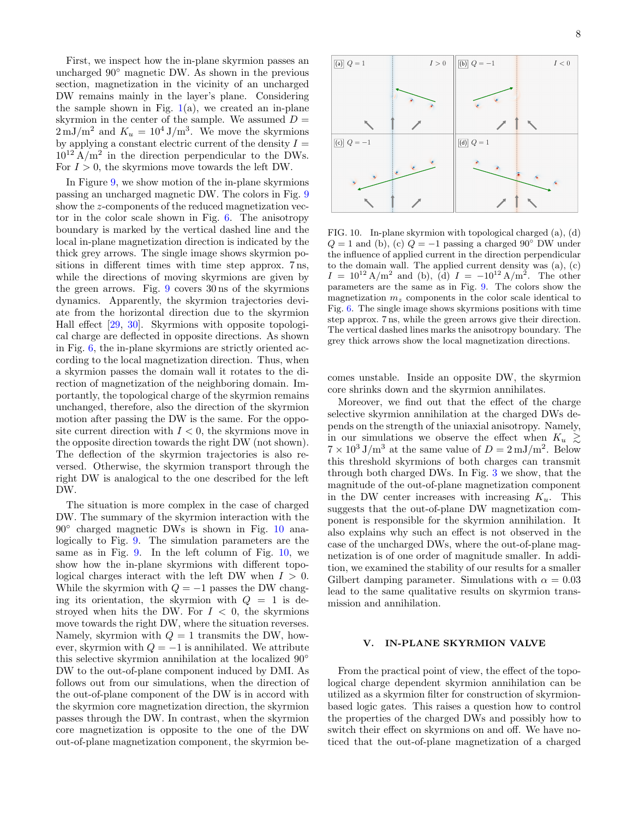First, we inspect how the in-plane skyrmion passes an uncharged 90◦ magnetic DW. As shown in the previous section, magnetization in the vicinity of an uncharged DW remains mainly in the layer's plane. Considering the sample shown in Fig.  $1(a)$  $1(a)$ , we created an in-plane skyrmion in the center of the sample. We assumed  $D =$  $2 \,\mathrm{mJ/m^2}$  and  $K_u = 10^4 \,\mathrm{J/m^3}$ . We move the skyrmions by applying a constant electric current of the density  $I =$  $10^{12}$  A/m<sup>2</sup> in the direction perpendicular to the DWs. For  $I > 0$ , the skyrmions move towards the left DW.

In Figure [9,](#page-6-2) we show motion of the in-plane skyrmions passing an uncharged magnetic DW. The colors in Fig. [9](#page-6-2) show the z-components of the reduced magnetization vector in the color scale shown in Fig. [6.](#page-5-0) The anisotropy boundary is marked by the vertical dashed line and the local in-plane magnetization direction is indicated by the thick grey arrows. The single image shows skyrmion positions in different times with time step approx. 7 ns, while the directions of moving skyrmions are given by the green arrows. Fig. [9](#page-6-2) covers 30 ns of the skyrmions dynamics. Apparently, the skyrmion trajectories deviate from the horizontal direction due to the skyrmion Hall effect [\[29,](#page-10-19) [30\]](#page-10-20). Skyrmions with opposite topological charge are deflected in opposite directions. As shown in Fig. [6,](#page-5-0) the in-plane skyrmions are strictly oriented according to the local magnetization direction. Thus, when a skyrmion passes the domain wall it rotates to the direction of magnetization of the neighboring domain. Importantly, the topological charge of the skyrmion remains unchanged, therefore, also the direction of the skyrmion motion after passing the DW is the same. For the opposite current direction with  $I < 0$ , the skyrmions move in the opposite direction towards the right DW (not shown). The deflection of the skyrmion trajectories is also reversed. Otherwise, the skyrmion transport through the right DW is analogical to the one described for the left DW.

The situation is more complex in the case of charged DW. The summary of the skyrmion interaction with the 90◦ charged magnetic DWs is shown in Fig. [10](#page-7-1) analogically to Fig. [9.](#page-6-2) The simulation parameters are the same as in Fig. [9.](#page-6-2) In the left column of Fig. [10,](#page-7-1) we show how the in-plane skyrmions with different topological charges interact with the left DW when  $I > 0$ . While the skyrmion with  $Q = -1$  passes the DW changing its orientation, the skyrmion with  $Q = 1$  is destroyed when hits the DW. For  $I < 0$ , the skyrmions move towards the right DW, where the situation reverses. Namely, skyrmion with  $Q = 1$  transmits the DW, however, skyrmion with  $Q = -1$  is annihilated. We attribute this selective skyrmion annihilation at the localized 90◦ DW to the out-of-plane component induced by DMI. As follows out from our simulations, when the direction of the out-of-plane component of the DW is in accord with the skyrmion core magnetization direction, the skyrmion passes through the DW. In contrast, when the skyrmion core magnetization is opposite to the one of the DW out-of-plane magnetization component, the skyrmion be-



<span id="page-7-1"></span>FIG. 10. In-plane skyrmion with topological charged (a), (d)  $Q = 1$  and (b), (c)  $Q = -1$  passing a charged 90° DW under the influence of applied current in the direction perpendicular to the domain wall. The applied current density was (a), (c)  $I = 10^{12} \text{ A/m}^2$  and (b), (d)  $I = -10^{12} \text{ A/m}^2$ . The other parameters are the same as in Fig. [9.](#page-6-2) The colors show the magnetization  $m<sub>z</sub>$  components in the color scale identical to Fig. [6.](#page-5-0) The single image shows skyrmions positions with time step approx. 7 ns, while the green arrows give their direction. The vertical dashed lines marks the anisotropy boundary. The grey thick arrows show the local magnetization directions.

comes unstable. Inside an opposite DW, the skyrmion core shrinks down and the skyrmion annihilates.

Moreover, we find out that the effect of the charge selective skyrmion annihilation at the charged DWs depends on the strength of the uniaxial anisotropy. Namely, in our simulations we observe the effect when  $K_u \gtrsim$  $7 \times 10^3 \text{ J/m}^3$  at the same value of  $D = 2 \text{ mJ/m}^2$ . Below this threshold skyrmions of both charges can transmit through both charged DWs. In Fig. [3](#page-3-0) we show, that the magnitude of the out-of-plane magnetization component in the DW center increases with increasing  $K_u$ . This suggests that the out-of-plane DW magnetization component is responsible for the skyrmion annihilation. It also explains why such an effect is not observed in the case of the uncharged DWs, where the out-of-plane magnetization is of one order of magnitude smaller. In addition, we examined the stability of our results for a smaller Gilbert damping parameter. Simulations with  $\alpha = 0.03$ lead to the same qualitative results on skyrmion transmission and annihilation.

# <span id="page-7-0"></span>V. IN-PLANE SKYRMION VALVE

From the practical point of view, the effect of the topological charge dependent skyrmion annihilation can be utilized as a skyrmion filter for construction of skyrmionbased logic gates. This raises a question how to control the properties of the charged DWs and possibly how to switch their effect on skyrmions on and off. We have noticed that the out-of-plane magnetization of a charged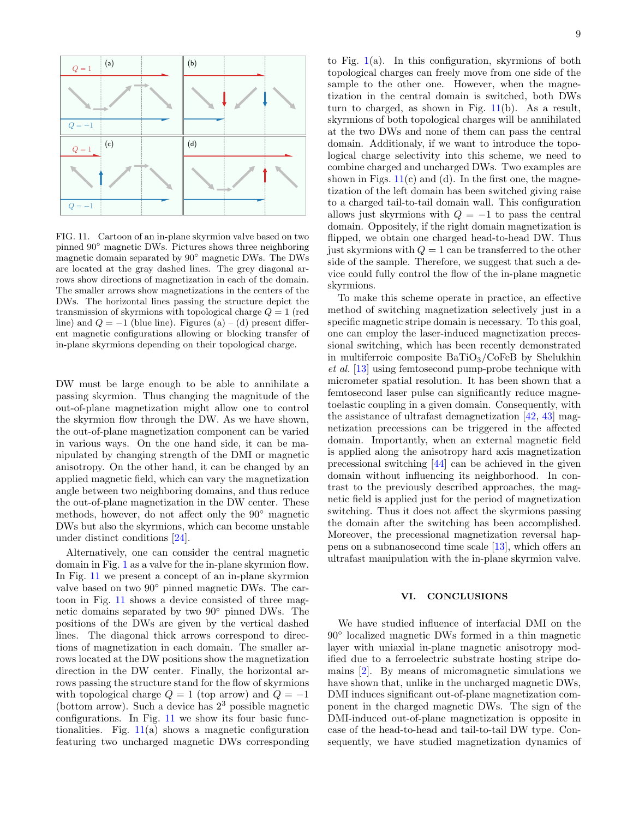

<span id="page-8-1"></span>FIG. 11. Cartoon of an in-plane skyrmion valve based on two pinned 90◦ magnetic DWs. Pictures shows three neighboring magnetic domain separated by 90◦ magnetic DWs. The DWs are located at the gray dashed lines. The grey diagonal arrows show directions of magnetization in each of the domain. The smaller arrows show magnetizations in the centers of the DWs. The horizontal lines passing the structure depict the transmission of skyrmions with topological charge  $Q = 1$  (red line) and  $Q = -1$  (blue line). Figures (a) – (d) present different magnetic configurations allowing or blocking transfer of in-plane skyrmions depending on their topological charge.

DW must be large enough to be able to annihilate a passing skyrmion. Thus changing the magnitude of the out-of-plane magnetization might allow one to control the skyrmion flow through the DW. As we have shown, the out-of-plane magnetization component can be varied in various ways. On the one hand side, it can be manipulated by changing strength of the DMI or magnetic anisotropy. On the other hand, it can be changed by an applied magnetic field, which can vary the magnetization angle between two neighboring domains, and thus reduce the out-of-plane magnetization in the DW center. These methods, however, do not affect only the 90◦ magnetic DWs but also the skyrmions, which can become unstable under distinct conditions [\[24\]](#page-10-16).

Alternatively, one can consider the central magnetic domain in Fig. [1](#page-1-1) as a valve for the in-plane skyrmion flow. In Fig. [11](#page-8-1) we present a concept of an in-plane skyrmion valve based on two 90<sup>°</sup> pinned magnetic DWs. The cartoon in Fig. [11](#page-8-1) shows a device consisted of three magnetic domains separated by two 90◦ pinned DWs. The positions of the DWs are given by the vertical dashed lines. The diagonal thick arrows correspond to directions of magnetization in each domain. The smaller arrows located at the DW positions show the magnetization direction in the DW center. Finally, the horizontal arrows passing the structure stand for the flow of skyrmions with topological charge  $Q = 1$  (top arrow) and  $Q = -1$ (bottom arrow). Such a device has  $2<sup>3</sup>$  possible magnetic configurations. In Fig. [11](#page-8-1) we show its four basic functionalities. Fig.  $11(a)$  $11(a)$  shows a magnetic configuration featuring two uncharged magnetic DWs corresponding to Fig. [1\(](#page-1-1)a). In this configuration, skyrmions of both topological charges can freely move from one side of the sample to the other one. However, when the magnetization in the central domain is switched, both DWs turn to charged, as shown in Fig. [11\(](#page-8-1)b). As a result, skyrmions of both topological charges will be annihilated at the two DWs and none of them can pass the central domain. Additionaly, if we want to introduce the topological charge selectivity into this scheme, we need to combine charged and uncharged DWs. Two examples are shown in Figs.  $11(c)$  $11(c)$  and (d). In the first one, the magnetization of the left domain has been switched giving raise to a charged tail-to-tail domain wall. This configuration allows just skyrmions with  $Q = -1$  to pass the central domain. Oppositely, if the right domain magnetization is flipped, we obtain one charged head-to-head DW. Thus just skyrmions with  $Q = 1$  can be transferred to the other side of the sample. Therefore, we suggest that such a device could fully control the flow of the in-plane magnetic skyrmions.

To make this scheme operate in practice, an effective method of switching magnetization selectively just in a specific magnetic stripe domain is necessary. To this goal, one can employ the laser-induced magnetization precessional switching, which has been recently demonstrated in multiferroic composite  $BaTiO<sub>3</sub>/CoFeB$  by Shelukhin et al. [\[13\]](#page-10-8) using femtosecond pump-probe technique with micrometer spatial resolution. It has been shown that a femtosecond laser pulse can significantly reduce magnetoelastic coupling in a given domain. Consequently, with the assistance of ultrafast demagnetization  $[42, 43]$  $[42, 43]$  $[42, 43]$  magnetization precessions can be triggered in the affected domain. Importantly, when an external magnetic field is applied along the anisotropy hard axis magnetization precessional switching [\[44\]](#page-10-32) can be achieved in the given domain without influencing its neighborhood. In contrast to the previously described approaches, the magnetic field is applied just for the period of magnetization switching. Thus it does not affect the skyrmions passing the domain after the switching has been accomplished. Moreover, the precessional magnetization reversal happens on a subnanosecond time scale [\[13\]](#page-10-8), which offers an ultrafast manipulation with the in-plane skyrmion valve.

## <span id="page-8-0"></span>VI. CONCLUSIONS

We have studied influence of interfacial DMI on the 90◦ localized magnetic DWs formed in a thin magnetic layer with uniaxial in-plane magnetic anisotropy modified due to a ferroelectric substrate hosting stripe domains [\[2\]](#page-9-1). By means of micromagnetic simulations we have shown that, unlike in the uncharged magnetic DWs, DMI induces significant out-of-plane magnetization component in the charged magnetic DWs. The sign of the DMI-induced out-of-plane magnetization is opposite in case of the head-to-head and tail-to-tail DW type. Consequently, we have studied magnetization dynamics of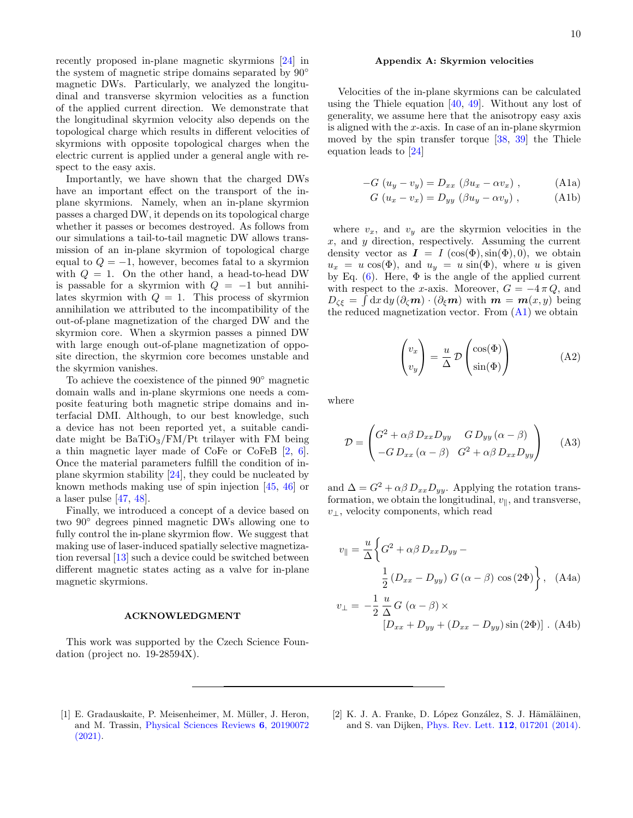recently proposed in-plane magnetic skyrmions [\[24\]](#page-10-16) in the system of magnetic stripe domains separated by 90◦ magnetic DWs. Particularly, we analyzed the longitudinal and transverse skyrmion velocities as a function of the applied current direction. We demonstrate that the longitudinal skyrmion velocity also depends on the topological charge which results in different velocities of skyrmions with opposite topological charges when the electric current is applied under a general angle with respect to the easy axis.

Importantly, we have shown that the charged DWs have an important effect on the transport of the inplane skyrmions. Namely, when an in-plane skyrmion passes a charged DW, it depends on its topological charge whether it passes or becomes destroyed. As follows from our simulations a tail-to-tail magnetic DW allows transmission of an in-plane skyrmion of topological charge equal to  $Q = -1$ , however, becomes fatal to a skyrmion with  $Q = 1$ . On the other hand, a head-to-head DW is passable for a skyrmion with  $Q = -1$  but annihilates skyrmion with  $Q = 1$ . This process of skyrmion annihilation we attributed to the incompatibility of the out-of-plane magnetization of the charged DW and the skyrmion core. When a skyrmion passes a pinned DW with large enough out-of-plane magnetization of opposite direction, the skyrmion core becomes unstable and the skyrmion vanishes.

To achieve the coexistence of the pinned 90◦ magnetic domain walls and in-plane skyrmions one needs a composite featuring both magnetic stripe domains and interfacial DMI. Although, to our best knowledge, such a device has not been reported yet, a suitable candidate might be  $BaTiO<sub>3</sub>/FM/Pt$  trilayer with FM being a thin magnetic layer made of CoFe or CoFeB [\[2,](#page-9-1) [6\]](#page-10-33). Once the material parameters fulfill the condition of inplane skyrmion stability [\[24\]](#page-10-16), they could be nucleated by known methods making use of spin injection [\[45,](#page-10-34) [46\]](#page-10-35) or a laser pulse [\[47,](#page-10-36) [48\]](#page-10-37).

Finally, we introduced a concept of a device based on two 90◦ degrees pinned magnetic DWs allowing one to fully control the in-plane skyrmion flow. We suggest that making use of laser-induced spatially selective magnetization reversal [\[13\]](#page-10-8) such a device could be switched between different magnetic states acting as a valve for in-plane magnetic skyrmions.

#### ACKNOWLEDGMENT

This work was supported by the Czech Science Foundation (project no. 19-28594X).

#### <span id="page-9-2"></span>Appendix A: Skyrmion velocities

Velocities of the in-plane skyrmions can be calculated using the Thiele equation  $[40, 49]$  $[40, 49]$  $[40, 49]$ . Without any lost of generality, we assume here that the anisotropy easy axis is aligned with the x-axis. In case of an in-plane skyrmion moved by the spin transfer torque [\[38,](#page-10-26) [39\]](#page-10-27) the Thiele equation leads to [\[24\]](#page-10-16)

$$
-G (u_y - v_y) = D_{xx} (\beta u_x - \alpha v_x), \qquad (A1a)
$$

<span id="page-9-4"></span>
$$
G (u_x - v_x) = D_{yy} (\beta u_y - \alpha v_y), \qquad (A1b)
$$

where  $v_x$ , and  $v_y$  are the skyrmion velocities in the  $x$ , and  $y$  direction, respectively. Assuming the current density vector as  $I = I(\cos(\Phi), \sin(\Phi), 0)$ , we obtain  $u_x = u \cos(\Phi)$ , and  $u_y = u \sin(\Phi)$ , where u is given by Eq.  $(6)$ . Here,  $\Phi$  is the angle of the applied current with respect to the x-axis. Moreover,  $G = -4 \pi Q$ , and  $D_{\zeta\xi} = \int dx dy (\partial_{\zeta} m) \cdot (\partial_{\xi} m)$  with  $m = m(x, y)$  being the reduced magnetization vector. From [\(A1\)](#page-9-4) we obtain

$$
\begin{pmatrix} v_x \\ v_y \end{pmatrix} = \frac{u}{\Delta} \mathcal{D} \begin{pmatrix} \cos(\Phi) \\ \sin(\Phi) \end{pmatrix}
$$
 (A2)

where

$$
\mathcal{D} = \begin{pmatrix} G^2 + \alpha \beta \, D_{xx} D_{yy} & G \, D_{yy} \, (\alpha - \beta) \\ -G \, D_{xx} \, (\alpha - \beta) & G^2 + \alpha \beta \, D_{xx} D_{yy} \end{pmatrix} \tag{A3}
$$

and  $\Delta = G^2 + \alpha \beta D_{xx} D_{yy}$ . Applying the rotation transformation, we obtain the longitudinal,  $v_{\parallel}$ , and transverse,  $v_{\perp}$ , velocity components, which read

<span id="page-9-3"></span>
$$
v_{\parallel} = \frac{u}{\Delta} \left\{ G^2 + \alpha \beta D_{xx} D_{yy} -
$$

$$
\frac{1}{2} (D_{xx} - D_{yy}) G(\alpha - \beta) \cos(2\Phi) \right\}, \quad \text{(A4a)}
$$

$$
v_{\perp} = -\frac{1}{2} \frac{u}{\Delta} G(\alpha - \beta) \times
$$

$$
[D_{xx} + D_{yy} + (D_{xx} - D_{yy}) \sin(2\Phi)] \quad \text{(A4b)}
$$

- <span id="page-9-0"></span>[1] E. Gradauskaite, P. Meisenheimer, M. Müller, J. Heron, and M. Trassin, [Physical Sciences Reviews](http://dx.doi.org/doi:10.1515/psr-2019-0072) 6, 20190072 [\(2021\).](http://dx.doi.org/doi:10.1515/psr-2019-0072)
- <span id="page-9-1"></span>[2] K. J. A. Franke, D. López González, S. J. Hämäläinen, and S. van Dijken, [Phys. Rev. Lett.](http://dx.doi.org/ 10.1103/PhysRevLett.112.017201) 112, 017201 (2014).